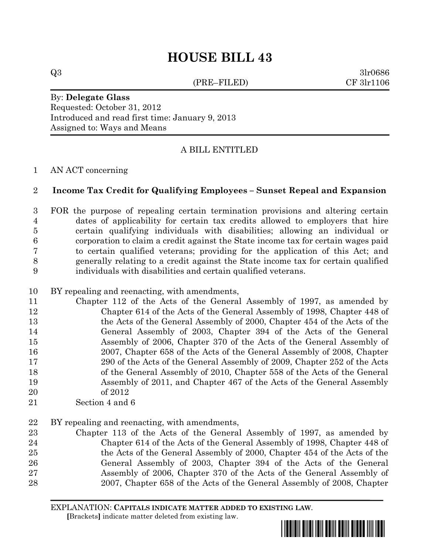# **HOUSE BILL 43**

(PRE–FILED) CF 3lr1106

 $Q3 \hspace{2.5cm} 3\text{l} \text{r} 0686$ 

### By: **Delegate Glass** Requested: October 31, 2012 Introduced and read first time: January 9, 2013 Assigned to: Ways and Means

# A BILL ENTITLED

## AN ACT concerning

## **Income Tax Credit for Qualifying Employees – Sunset Repeal and Expansion**

 FOR the purpose of repealing certain termination provisions and altering certain dates of applicability for certain tax credits allowed to employers that hire certain qualifying individuals with disabilities; allowing an individual or corporation to claim a credit against the State income tax for certain wages paid to certain qualified veterans; providing for the application of this Act; and generally relating to a credit against the State income tax for certain qualified individuals with disabilities and certain qualified veterans.

- BY repealing and reenacting, with amendments,
- Chapter 112 of the Acts of the General Assembly of 1997, as amended by Chapter 614 of the Acts of the General Assembly of 1998, Chapter 448 of the Acts of the General Assembly of 2000, Chapter 454 of the Acts of the General Assembly of 2003, Chapter 394 of the Acts of the General Assembly of 2006, Chapter 370 of the Acts of the General Assembly of 2007, Chapter 658 of the Acts of the General Assembly of 2008, Chapter 290 of the Acts of the General Assembly of 2009, Chapter 252 of the Acts 18 of the General Assembly of 2010, Chapter 558 of the Acts of the General Assembly of 2011, and Chapter 467 of the Acts of the General Assembly of 2012
- Section 4 and 6
- BY repealing and reenacting, with amendments,
- Chapter 113 of the Acts of the General Assembly of 1997, as amended by Chapter 614 of the Acts of the General Assembly of 1998, Chapter 448 of the Acts of the General Assembly of 2000, Chapter 454 of the Acts of the General Assembly of 2003, Chapter 394 of the Acts of the General Assembly of 2006, Chapter 370 of the Acts of the General Assembly of 2007, Chapter 658 of the Acts of the General Assembly of 2008, Chapter

EXPLANATION: **CAPITALS INDICATE MATTER ADDED TO EXISTING LAW**.  **[**Brackets**]** indicate matter deleted from existing law.

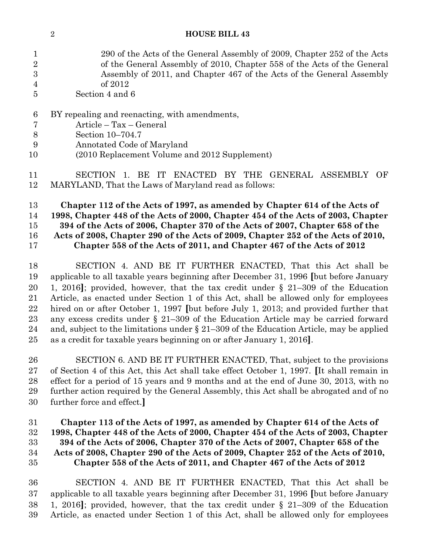| $\mathbf{1}$    | 290 of the Acts of the General Assembly of 2009, Chapter 252 of the Acts              |
|-----------------|---------------------------------------------------------------------------------------|
| $\overline{2}$  | of the General Assembly of 2010, Chapter 558 of the Acts of the General               |
| 3               | Assembly of 2011, and Chapter 467 of the Acts of the General Assembly                 |
| 4               | of 2012                                                                               |
| 5               | Section 4 and 6                                                                       |
| $6\phantom{.}6$ | BY repealing and reenacting, with amendments,                                         |
| $\overline{7}$  | Article - Tax - General                                                               |
| 8               | Section 10-704.7                                                                      |
| 9               | Annotated Code of Maryland                                                            |
| 10              | (2010 Replacement Volume and 2012 Supplement)                                         |
| 11              | SECTION 1. BE IT ENACTED BY THE GENERAL ASSEMBLY OF                                   |
| 12              | MARYLAND, That the Laws of Maryland read as follows:                                  |
| 13              | Chapter 112 of the Acts of 1997, as amended by Chapter 614 of the Acts of             |
| 14              | 1998, Chapter 448 of the Acts of 2000, Chapter 454 of the Acts of 2003, Chapter       |
| 15              | 394 of the Acts of 2006, Chapter 370 of the Acts of 2007, Chapter 658 of the          |
| 16              | Acts of 2008, Chapter 290 of the Acts of 2009, Chapter 252 of the Acts of 2010,       |
| 17              | Chapter 558 of the Acts of 2011, and Chapter 467 of the Acts of 2012                  |
| 18              | SECTION 4. AND BE IT FURTHER ENACTED, That this Act shall be                          |
| 19              | applicable to all taxable years beginning after December 31, 1996 [but before January |
| 20              | 1, 2016]; provided, however, that the tax credit under $\S$ 21–309 of the Education   |
| 21              | Article, as enacted under Section 1 of this Act, shall be allowed only for employees  |
| ດດ              | hived an an after October 1, 1007 flut before July 1, 2012; and previded further that |

**HOUSE BILL 43**

 hired on or after October 1, 1997 **[**but before July 1, 2013; and provided further that any excess credits under § 21–309 of the Education Article may be carried forward and, subject to the limitations under § 21–309 of the Education Article, may be applied as a credit for taxable years beginning on or after January 1, 2016**]**.

 SECTION 6. AND BE IT FURTHER ENACTED, That, subject to the provisions of Section 4 of this Act, this Act shall take effect October 1, 1997. **[**It shall remain in effect for a period of 15 years and 9 months and at the end of June 30, 2013, with no further action required by the General Assembly, this Act shall be abrogated and of no further force and effect.**]**

 **Chapter 113 of the Acts of 1997, as amended by Chapter 614 of the Acts of 1998, Chapter 448 of the Acts of 2000, Chapter 454 of the Acts of 2003, Chapter 394 of the Acts of 2006, Chapter 370 of the Acts of 2007, Chapter 658 of the Acts of 2008, Chapter 290 of the Acts of 2009, Chapter 252 of the Acts of 2010, Chapter 558 of the Acts of 2011, and Chapter 467 of the Acts of 2012**

 SECTION 4. AND BE IT FURTHER ENACTED, That this Act shall be applicable to all taxable years beginning after December 31, 1996 **[**but before January 1, 2016**]**; provided, however, that the tax credit under § 21–309 of the Education Article, as enacted under Section 1 of this Act, shall be allowed only for employees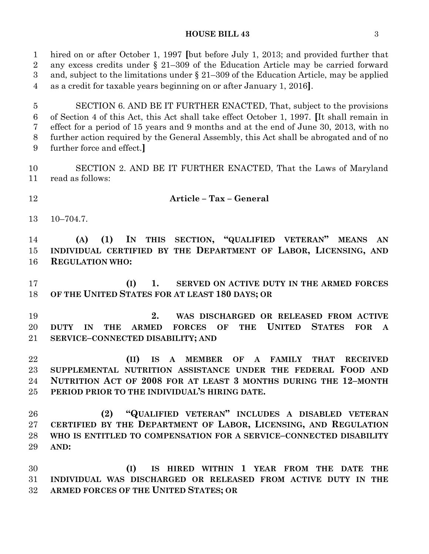#### **HOUSE BILL 43** 3

 hired on or after October 1, 1997 **[**but before July 1, 2013; and provided further that any excess credits under § 21–309 of the Education Article may be carried forward and, subject to the limitations under § 21–309 of the Education Article, may be applied as a credit for taxable years beginning on or after January 1, 2016**]**.

 SECTION 6. AND BE IT FURTHER ENACTED, That, subject to the provisions of Section 4 of this Act, this Act shall take effect October 1, 1997. **[**It shall remain in effect for a period of 15 years and 9 months and at the end of June 30, 2013, with no further action required by the General Assembly, this Act shall be abrogated and of no further force and effect.**]**

 SECTION 2. AND BE IT FURTHER ENACTED, That the Laws of Maryland read as follows:

**Article – Tax – General**

10–704.7.

 **(A) (1) IN THIS SECTION, "QUALIFIED VETERAN" MEANS AN INDIVIDUAL CERTIFIED BY THE DEPARTMENT OF LABOR, LICENSING, AND REGULATION WHO:**

 **(I) 1. SERVED ON ACTIVE DUTY IN THE ARMED FORCES OF THE UNITED STATES FOR AT LEAST 180 DAYS; OR**

 **2. WAS DISCHARGED OR RELEASED FROM ACTIVE DUTY IN THE ARMED FORCES OF THE UNITED STATES FOR A SERVICE–CONNECTED DISABILITY; AND**

 **(II) IS A MEMBER OF A FAMILY THAT RECEIVED SUPPLEMENTAL NUTRITION ASSISTANCE UNDER THE FEDERAL FOOD AND NUTRITION ACT OF 2008 FOR AT LEAST 3 MONTHS DURING THE 12–MONTH PERIOD PRIOR TO THE INDIVIDUAL'S HIRING DATE.**

 **(2) "QUALIFIED VETERAN" INCLUDES A DISABLED VETERAN CERTIFIED BY THE DEPARTMENT OF LABOR, LICENSING, AND REGULATION WHO IS ENTITLED TO COMPENSATION FOR A SERVICE–CONNECTED DISABILITY AND:**

 **(I) IS HIRED WITHIN 1 YEAR FROM THE DATE THE INDIVIDUAL WAS DISCHARGED OR RELEASED FROM ACTIVE DUTY IN THE ARMED FORCES OF THE UNITED STATES; OR**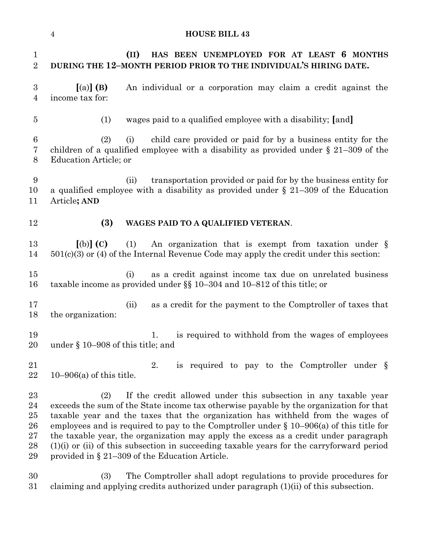#### **HOUSE BILL 43**

 **(II) HAS BEEN UNEMPLOYED FOR AT LEAST 6 MONTHS DURING THE 12–MONTH PERIOD PRIOR TO THE INDIVIDUAL'S HIRING DATE. [**(a)**] (B)** An individual or a corporation may claim a credit against the income tax for: (1) wages paid to a qualified employee with a disability; **[**and**]** (2) (i) child care provided or paid for by a business entity for the children of a qualified employee with a disability as provided under § 21–309 of the Education Article; or (ii) transportation provided or paid for by the business entity for a qualified employee with a disability as provided under § 21–309 of the Education Article**; AND (3) WAGES PAID TO A QUALIFIED VETERAN**. **[**(b)**] (C)** (1) An organization that is exempt from taxation under § 501(c)(3) or (4) of the Internal Revenue Code may apply the credit under this section: (i) as a credit against income tax due on unrelated business taxable income as provided under §§ 10–304 and 10–812 of this title; or (ii) as a credit for the payment to the Comptroller of taxes that the organization: 19 1. is required to withhold from the wages of employees under § 10–908 of this title; and 21 2. is required to pay to the Comptroller under § 10–906(a) of this title. (2) If the credit allowed under this subsection in any taxable year exceeds the sum of the State income tax otherwise payable by the organization for that taxable year and the taxes that the organization has withheld from the wages of 26 employees and is required to pay to the Comptroller under  $\S$  10–906(a) of this title for the taxable year, the organization may apply the excess as a credit under paragraph (1)(i) or (ii) of this subsection in succeeding taxable years for the carryforward period provided in § 21–309 of the Education Article. (3) The Comptroller shall adopt regulations to provide procedures for claiming and applying credits authorized under paragraph (1)(ii) of this subsection.